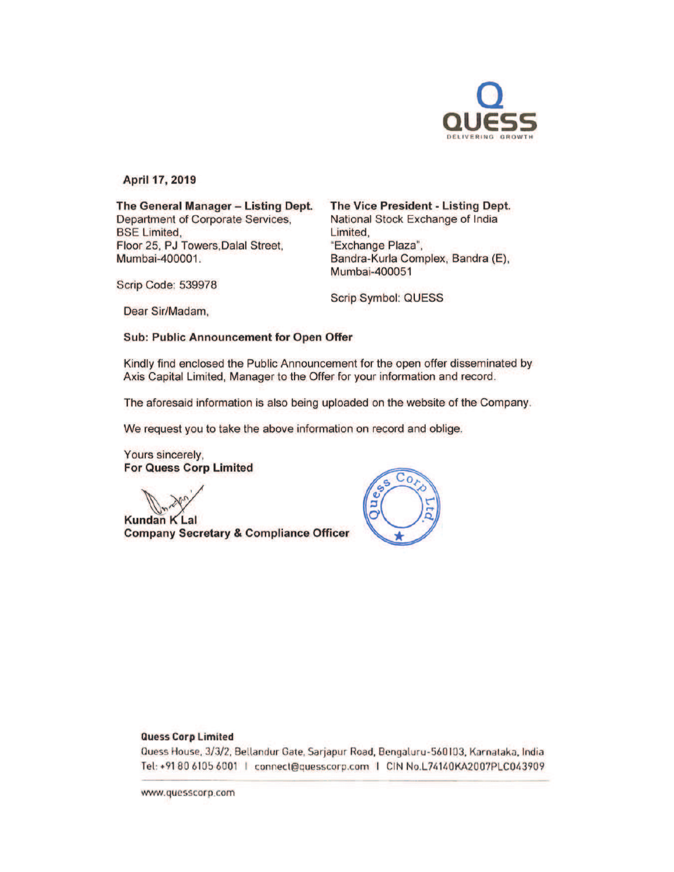

April 17, 2019

The General Manager - Listing Dept. Department of Corporate Services, BSE Limited, Floor 25, PJ Towers.Dalal Street, Mumbai-400001.

The Vice President - Listing Dept.

National Stock Exchange of India Limited, "Exchange Plaza", Bandra-Kurla Complex, Sandra (E), Mumbai-400051

Scrip Code: 539978

Scrip Symbol: QUESS

Dear Sir/Madam,

Sub: Public Announcement for Open Offer

Kindly find enclosed the Public Announcement for the open offer disseminated by Axis Capital Limited, Manager to the Offer for your information and record.

The aforesaid information is also being uploaded on the website of the Company.

We request you to take the above information on record and oblige.

Yours sincerely, For Quess Corp Limited

**Kundan K Lal** Company Secretary & Compliance Officer



#### Quess Corp limited

Quess House, 3/3/2, Bellandur Gate, Sarjapur Road, Bengaluru-560103, Karnataka, India Tel: +91 80 6105 6001 | connect@quesscorp.com | CIN No.L74140KA2007PLC043909

www.quesscorp.com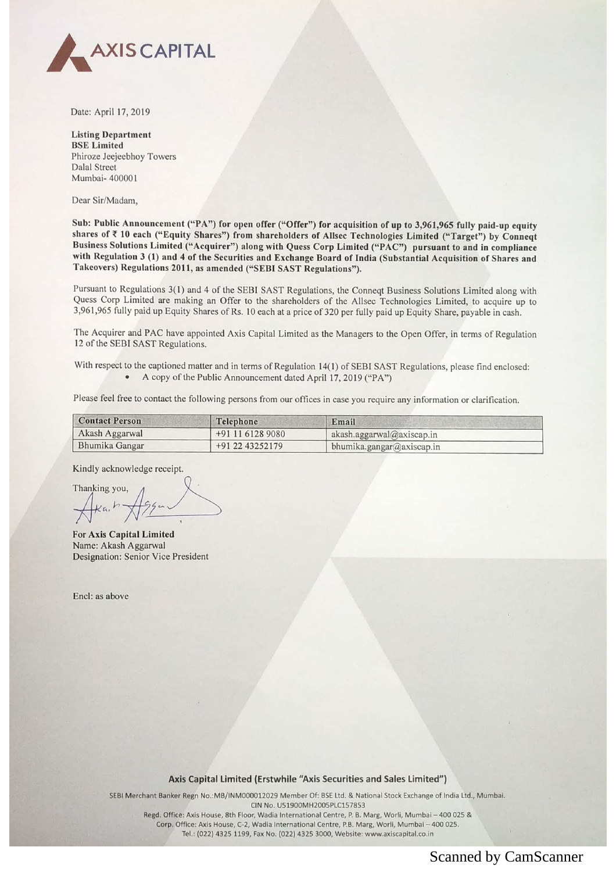

Date: April 17, 2019

**Listing Department BSE** Limited Phiroze Jeejeebhoy Towers **Dalal Street** Mumbai-400001

Dear Sir/Madam,

Sub: Public Announcement ("PA") for open offer ("Offer") for acquisition of up to 3,961,965 fully paid-up equity shares of ₹ 10 each ("Equity Shares") from shareholders of Allsec Technologies Limited ("Target") by Conneqt<br>Business Solutions Limited ("Acquirer") along with Quess Corp Limited ("PAC") pursuant to and in compliance with Regulation 3 (1) and 4 of the Securities and Exchange Board of India (Substantial Acquisition of Shares and Takeovers) Regulations 2011, as amended ("SEBI SAST Regulations").

Pursuant to Regulations 3(1) and 4 of the SEBI SAST Regulations, the Conneqt Business Solutions Limited along with Quess Corp Limited are making an Offer to the shareholders of the Allsec Technologies Limited, to acquire up to 3,961,965 fully paid up Equity Shares of Rs. 10 each at a price of 320 per fully paid up Equity Share, payable in cash.

The Acquirer and PAC have appointed Axis Capital Limited as the Managers to the Open Offer, in terms of Regulation 12 of the SEBI SAST Regulations.

With respect to the captioned matter and in terms of Regulation 14(1) of SEBI SAST Regulations, please find enclosed: • A copy of the Public Announcement dated April 17, 2019 ("PA")

Please feel free to contact the following persons from our offices in case you require any information or clarification.

| <b>Contact Person</b> | Telephone        | Email                               |
|-----------------------|------------------|-------------------------------------|
| Akash Aggarwal        | +91 11 6128 9080 | $akash. \text{aggarwal@axiscap.in}$ |
| Bhumika Gangar        | +91 22 43252179  | bhumika.gangar@axiscap.in           |

Kindly acknowledge receipt.

Thanking you,

For Axis Capital Limited Name: Akash Aggarwal Designation: Senior Vice President

Encl: as above

### Axis Capital Limited (Erstwhile "Axis Securities and Sales Limited")

SEBI Merchant Banker Regn No.:MB/INM000012029 Member Of- BSE ltd. & National Stock Exchange of India Ltd., Mumbai. CIN No. U51900MH2005PLC157853 Regd. Office: Axis House, 8th Floor, Wadia International Centre, P. B. Marg, Worli, Mumbai - 400 025 &

Corp. Office: Axis House, C-2, Wadia International Centre, P.B. Marg, Worli, Mumbai - 400 025. Tel.: (022) 4325 1199, Fax No. (022) 4325 3000, Website: www.axiscapital.co.in

# Scanned by CamScanner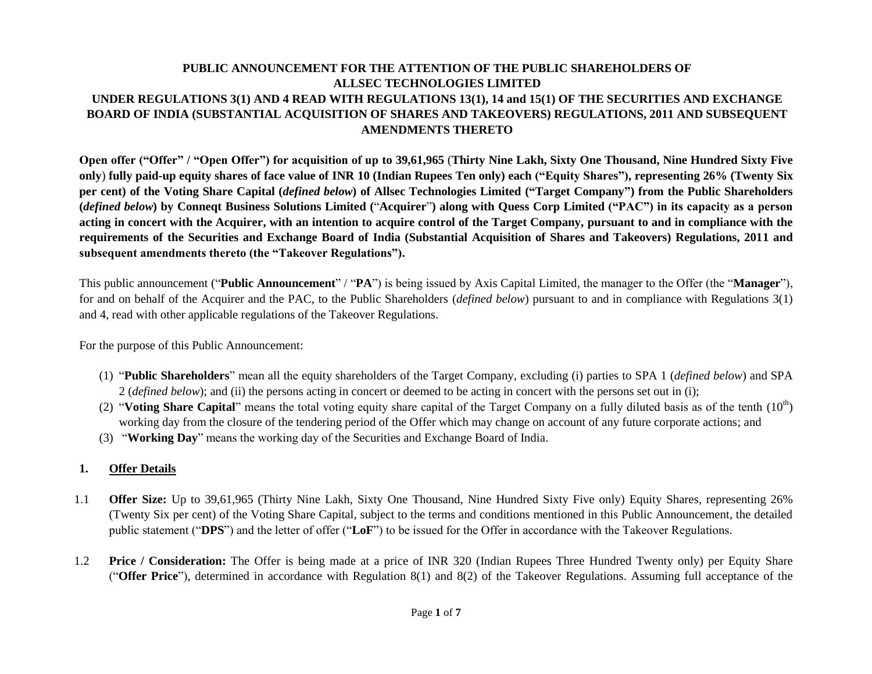# **PUBLIC ANNOUNCEMENT FOR THE ATTENTION OF THE PUBLIC SHAREHOLDERS OF ALLSEC TECHNOLOGIES LIMITED UNDER REGULATIONS 3(1) AND 4 READ WITH REGULATIONS 13(1), 14 and 15(1) OF THE SECURITIES AND EXCHANGE BOARD OF INDIA (SUBSTANTIAL ACQUISITION OF SHARES AND TAKEOVERS) REGULATIONS, 2011 AND SUBSEQUENT AMENDMENTS THERETO**

**Open offer ("Offer" / "Open Offer") for acquisition of up to 39,61,965** (**Thirty Nine Lakh, Sixty One Thousand, Nine Hundred Sixty Five only**) **fully paid-up equity shares of face value of INR 10 (Indian Rupees Ten only) each ("Equity Shares"), representing 26% (Twenty Six per cent) of the Voting Share Capital (***defined below***) of Allsec Technologies Limited ("Target Company") from the Public Shareholders (***defined below***) by Conneqt Business Solutions Limited (**"**Acquirer**"**) along with Quess Corp Limited ("PAC") in its capacity as a person acting in concert with the Acquirer, with an intention to acquire control of the Target Company, pursuant to and in compliance with the requirements of the Securities and Exchange Board of India (Substantial Acquisition of Shares and Takeovers) Regulations, 2011 and subsequent amendments thereto (the "Takeover Regulations").** 

This public announcement ("**Public Announcement**" / "**PA**") is being issued by Axis Capital Limited, the manager to the Offer (the "**Manager**"), for and on behalf of the Acquirer and the PAC, to the Public Shareholders (*defined below*) pursuant to and in compliance with Regulations 3(1) and 4, read with other applicable regulations of the Takeover Regulations.

For the purpose of this Public Announcement:

- (1) "**Public Shareholders**" mean all the equity shareholders of the Target Company, excluding (i) parties to SPA 1 (*defined below*) and SPA 2 (*defined below*); and (ii) the persons acting in concert or deemed to be acting in concert with the persons set out in (i);
- (2) "**Voting Share Capital**" means the total voting equity share capital of the Target Company on a fully diluted basis as of the tenth  $(10<sup>th</sup>)$ working day from the closure of the tendering period of the Offer which may change on account of any future corporate actions; and
- (3) "**Working Day**" means the working day of the Securities and Exchange Board of India.

### **1. Offer Details**

- 1.1 **Offer Size:** Up to 39,61,965 (Thirty Nine Lakh, Sixty One Thousand, Nine Hundred Sixty Five only) Equity Shares, representing 26% (Twenty Six per cent) of the Voting Share Capital, subject to the terms and conditions mentioned in this Public Announcement, the detailed public statement ("**DPS**") and the letter of offer ("**LoF**") to be issued for the Offer in accordance with the Takeover Regulations.
- 1.2 **Price / Consideration:** The Offer is being made at a price of INR 320 (Indian Rupees Three Hundred Twenty only) per Equity Share ("**Offer Price**"), determined in accordance with Regulation 8(1) and 8(2) of the Takeover Regulations. Assuming full acceptance of the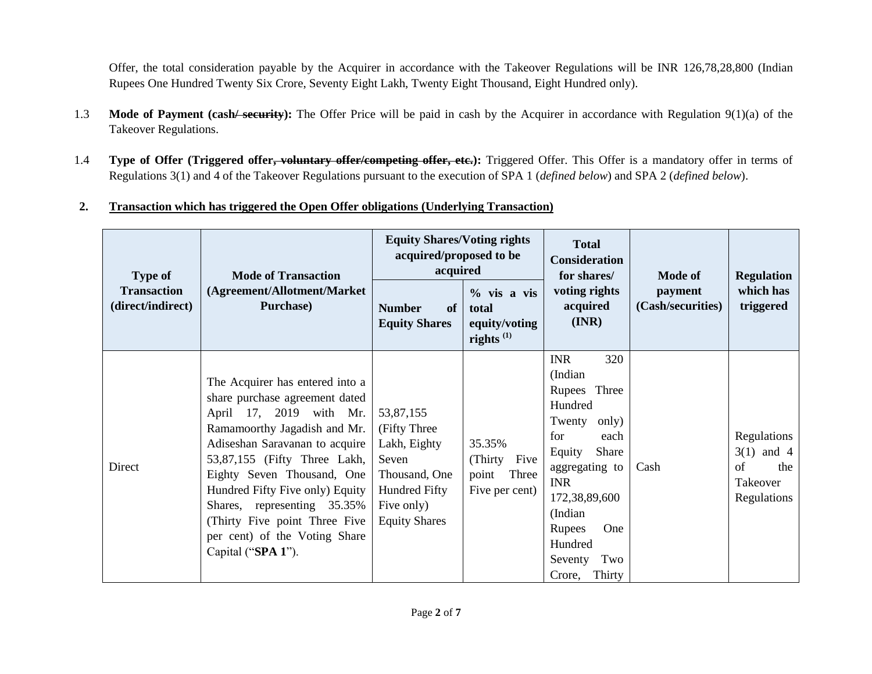Offer, the total consideration payable by the Acquirer in accordance with the Takeover Regulations will be INR 126,78,28,800 (Indian Rupees One Hundred Twenty Six Crore, Seventy Eight Lakh, Twenty Eight Thousand, Eight Hundred only).

- 1.3 **Mode of Payment (cash/ security):** The Offer Price will be paid in cash by the Acquirer in accordance with Regulation 9(1)(a) of the Takeover Regulations.
- 1.4 **Type of Offer (Triggered offer, voluntary offer/competing offer, etc.):** Triggered Offer. This Offer is a mandatory offer in terms of Regulations 3(1) and 4 of the Takeover Regulations pursuant to the execution of SPA 1 (*defined below*) and SPA 2 (*defined below*).

## **2. Transaction which has triggered the Open Offer obligations (Underlying Transaction)**

| <b>Mode of Transaction</b><br><b>Type of</b> |                                                                                                                                                                                                                                                                                                                                                                                        | <b>Equity Shares/Voting rights</b><br>acquired/proposed to be<br>acquired                                                          |                                                               | <b>Total</b><br><b>Consideration</b><br>for shares/                                                                                                                                                                                            | Mode of                      | <b>Regulation</b>                                                   |
|----------------------------------------------|----------------------------------------------------------------------------------------------------------------------------------------------------------------------------------------------------------------------------------------------------------------------------------------------------------------------------------------------------------------------------------------|------------------------------------------------------------------------------------------------------------------------------------|---------------------------------------------------------------|------------------------------------------------------------------------------------------------------------------------------------------------------------------------------------------------------------------------------------------------|------------------------------|---------------------------------------------------------------------|
| <b>Transaction</b><br>(direct/indirect)      | (Agreement/Allotment/Market<br><b>Purchase</b> )<br><b>Number</b><br><b>Equity Shares</b>                                                                                                                                                                                                                                                                                              |                                                                                                                                    | $\%$ vis a vis<br>total<br>equity/voting<br>rights $^{(1)}$   | voting rights<br>acquired<br>(INR)                                                                                                                                                                                                             | payment<br>(Cash/securities) | which has<br>triggered                                              |
| Direct                                       | The Acquirer has entered into a<br>share purchase agreement dated<br>April 17, 2019 with Mr.<br>Ramamoorthy Jagadish and Mr.<br>Adiseshan Saravanan to acquire<br>53,87,155 (Fifty Three Lakh,<br>Eighty Seven Thousand, One<br>Hundred Fifty Five only) Equity<br>Shares, representing 35.35%<br>(Thirty Five point Three Five<br>per cent) of the Voting Share<br>Capital ("SPA 1"). | 53,87,155<br>(Fifty Three)<br>Lakh, Eighty<br>Seven<br>Thousand, One<br><b>Hundred Fifty</b><br>Five only)<br><b>Equity Shares</b> | 35.35%<br>(Thirty<br>Five<br>Three<br>point<br>Five per cent) | 320<br><b>INR</b><br>(Indian<br>Three<br>Rupees<br>Hundred<br>Twenty<br>only)<br>for<br>each<br>Share<br>Equity<br>aggregating to<br><b>INR</b><br>172,38,89,600<br>(Indian)<br>Rupees<br>One<br>Hundred<br>Two<br>Seventy<br>Thirty<br>Crore, | Cash                         | Regulations<br>$3(1)$ and 4<br>of<br>the<br>Takeover<br>Regulations |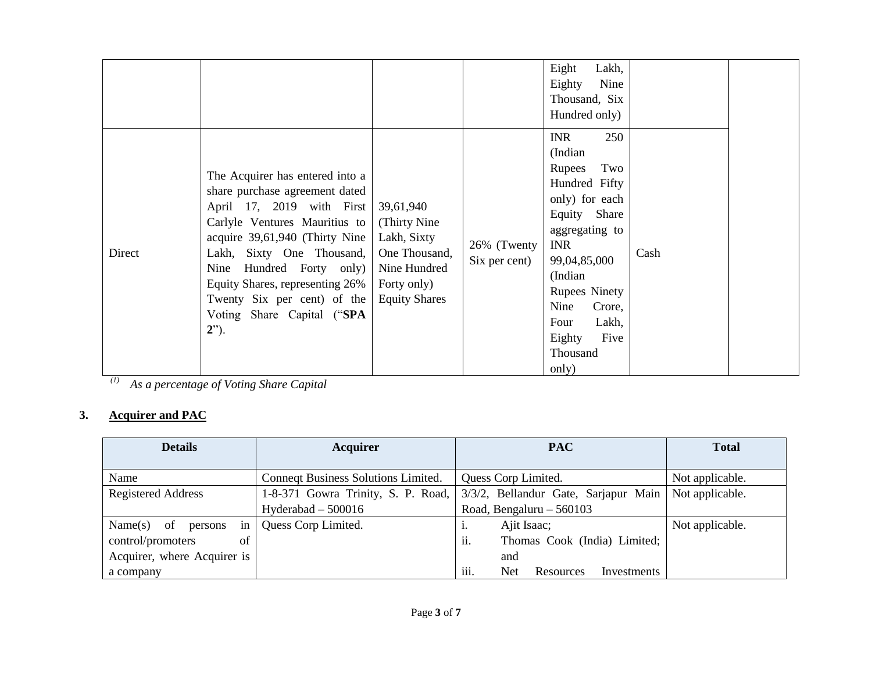|        |                                                                                                                                                                                                                                                                                                                                            |                                                                                                                   |                              | Lakh,<br>Eight<br>Eighty<br>Nine<br>Thousand, Six<br>Hundred only)<br><b>INR</b><br>250                                                                                                                                                  |      |  |
|--------|--------------------------------------------------------------------------------------------------------------------------------------------------------------------------------------------------------------------------------------------------------------------------------------------------------------------------------------------|-------------------------------------------------------------------------------------------------------------------|------------------------------|------------------------------------------------------------------------------------------------------------------------------------------------------------------------------------------------------------------------------------------|------|--|
| Direct | The Acquirer has entered into a<br>share purchase agreement dated<br>April 17, 2019 with First<br>Carlyle Ventures Mauritius to<br>acquire $39,61,940$ (Thirty Nine<br>Lakh, Sixty One Thousand,<br>Hundred Forty only)<br>Nine<br>Equity Shares, representing 26%<br>Twenty Six per cent) of the<br>Voting Share Capital ("SPA<br>$2$ "). | 39,61,940<br>(Thirty Nine)<br>Lakh, Sixty<br>One Thousand,<br>Nine Hundred<br>Forty only)<br><b>Equity Shares</b> | 26% (Twenty<br>Six per cent) | (Indian<br>Two<br>Rupees<br>Hundred Fifty<br>only) for each<br>Equity Share<br>aggregating to<br><b>INR</b><br>99,04,85,000<br>(Indian<br><b>Rupees Ninety</b><br>Nine<br>Crore,<br>Lakh,<br>Four<br>Eighty<br>Five<br>Thousand<br>only) | Cash |  |

*(1) As a percentage of Voting Share Capital*

# **3. Acquirer and PAC**

| <b>Details</b>                            | <b>Acquirer</b>                                            | <b>PAC</b>                              | <b>Total</b>    |
|-------------------------------------------|------------------------------------------------------------|-----------------------------------------|-----------------|
|                                           |                                                            |                                         |                 |
| Name                                      | Connegt Business Solutions Limited.<br>Quess Corp Limited. |                                         | Not applicable. |
| <b>Registered Address</b>                 | 1-8-371 Gowra Trinity, S. P. Road,                         | 3/3/2, Bellandur Gate, Sarjapur Main    | Not applicable. |
|                                           | Road, Bengaluru $-560103$<br>Hyderabad $-500016$           |                                         |                 |
| $\frac{1}{2}$<br>Name $(s)$ of<br>persons | Quess Corp Limited.                                        | Ajit Isaac;<br>1.                       | Not applicable. |
| control/promoters<br>of                   |                                                            | ii.<br>Thomas Cook (India) Limited;     |                 |
| Acquirer, where Acquirer is               |                                                            | and                                     |                 |
| a company                                 |                                                            | iii.<br>Net<br>Investments<br>Resources |                 |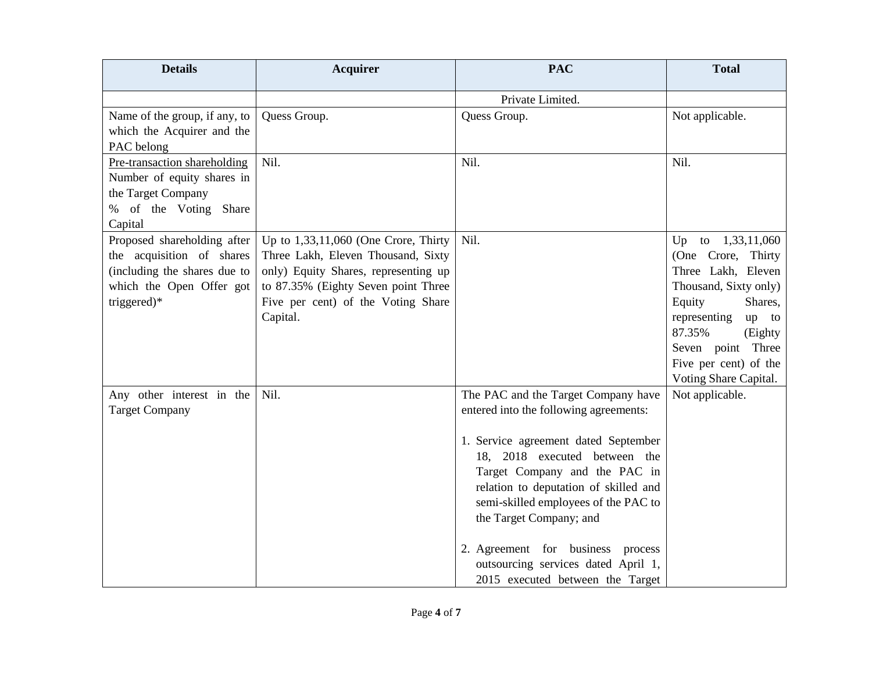| <b>Details</b>                                              | <b>Acquirer</b>                                                           | <b>PAC</b>                             | <b>Total</b>                                |
|-------------------------------------------------------------|---------------------------------------------------------------------------|----------------------------------------|---------------------------------------------|
|                                                             |                                                                           | Private Limited.                       |                                             |
| Name of the group, if any, to<br>which the Acquirer and the | Quess Group.                                                              | Quess Group.                           | Not applicable.                             |
| PAC belong                                                  |                                                                           |                                        |                                             |
| Pre-transaction shareholding                                | Nil.                                                                      | Nil.                                   | Nil.                                        |
| Number of equity shares in                                  |                                                                           |                                        |                                             |
| the Target Company                                          |                                                                           |                                        |                                             |
| % of the Voting Share                                       |                                                                           |                                        |                                             |
| Capital                                                     |                                                                           |                                        |                                             |
| Proposed shareholding after                                 | Up to $1,33,11,060$ (One Crore, Thirty                                    | Nil.                                   | to $1,33,11,060$<br>Up                      |
| the acquisition of shares                                   | Three Lakh, Eleven Thousand, Sixty                                        |                                        | (One Crore, Thirty                          |
| (including the shares due to                                | only) Equity Shares, representing up                                      |                                        | Three Lakh, Eleven<br>Thousand, Sixty only) |
| which the Open Offer got<br>triggered)*                     | to 87.35% (Eighty Seven point Three<br>Five per cent) of the Voting Share |                                        | Equity<br>Shares,                           |
|                                                             | Capital.                                                                  |                                        | representing<br>up to                       |
|                                                             |                                                                           |                                        | 87.35%<br>(Eighty)                          |
|                                                             |                                                                           |                                        | Seven point Three                           |
|                                                             |                                                                           |                                        | Five per cent) of the                       |
|                                                             |                                                                           |                                        | Voting Share Capital.                       |
| Any other interest in the                                   | Nil.                                                                      | The PAC and the Target Company have    | Not applicable.                             |
| <b>Target Company</b>                                       |                                                                           | entered into the following agreements: |                                             |
|                                                             |                                                                           | 1. Service agreement dated September   |                                             |
|                                                             |                                                                           | 18, 2018 executed between the          |                                             |
|                                                             |                                                                           | Target Company and the PAC in          |                                             |
|                                                             |                                                                           | relation to deputation of skilled and  |                                             |
|                                                             |                                                                           | semi-skilled employees of the PAC to   |                                             |
|                                                             |                                                                           | the Target Company; and                |                                             |
|                                                             |                                                                           | 2. Agreement for business process      |                                             |
|                                                             |                                                                           | outsourcing services dated April 1,    |                                             |
|                                                             |                                                                           | 2015 executed between the Target       |                                             |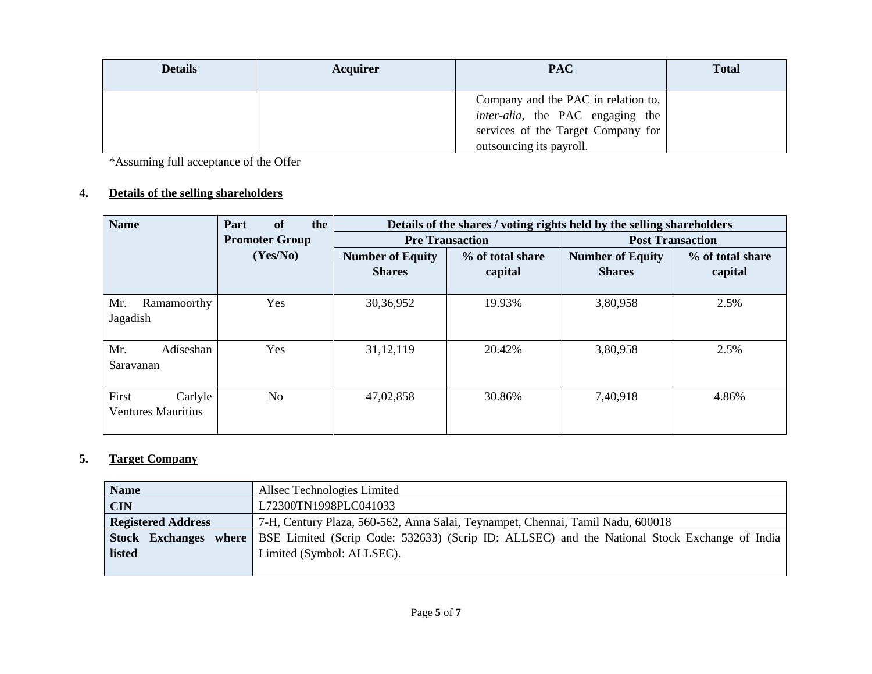| <b>Details</b> | <b>Acquirer</b> | <b>PAC</b>                                                                                                                                        | <b>Total</b> |
|----------------|-----------------|---------------------------------------------------------------------------------------------------------------------------------------------------|--------------|
|                |                 | Company and the PAC in relation to,<br><i>inter-alia</i> , the PAC engaging the<br>services of the Target Company for<br>outsourcing its payroll. |              |

\*Assuming full acceptance of the Offer

# **4. Details of the selling shareholders**

| <b>Name</b>                                   | of<br>the<br>Part | Details of the shares / voting rights held by the selling shareholders |                             |                                          |                             |
|-----------------------------------------------|-------------------|------------------------------------------------------------------------|-----------------------------|------------------------------------------|-----------------------------|
| <b>Promoter Group</b>                         |                   | <b>Pre Transaction</b>                                                 |                             | <b>Post Transaction</b>                  |                             |
|                                               | (Yes/No)          | <b>Number of Equity</b><br><b>Shares</b>                               | % of total share<br>capital | <b>Number of Equity</b><br><b>Shares</b> | % of total share<br>capital |
| Mr.<br>Ramamoorthy<br>Jagadish                | Yes               | 30,36,952                                                              | 19.93%                      | 3,80,958                                 | 2.5%                        |
| Mr.<br>Adiseshan<br>Saravanan                 | Yes               | 31, 12, 119                                                            | 20.42%                      | 3,80,958                                 | 2.5%                        |
| First<br>Carlyle<br><b>Ventures Mauritius</b> | N <sub>o</sub>    | 47,02,858                                                              | 30.86%                      | 7,40,918                                 | 4.86%                       |

# **5. Target Company**

| <b>Name</b>                     | Allsec Technologies Limited                                                                  |
|---------------------------------|----------------------------------------------------------------------------------------------|
| <b>CIN</b>                      | L72300TN1998PLC041033                                                                        |
| <b>Registered Address</b>       | 7-H, Century Plaza, 560-562, Anna Salai, Teynampet, Chennai, Tamil Nadu, 600018              |
| where<br><b>Stock Exchanges</b> | BSE Limited (Scrip Code: 532633) (Scrip ID: ALLSEC) and the National Stock Exchange of India |
| listed                          | Limited (Symbol: ALLSEC).                                                                    |
|                                 |                                                                                              |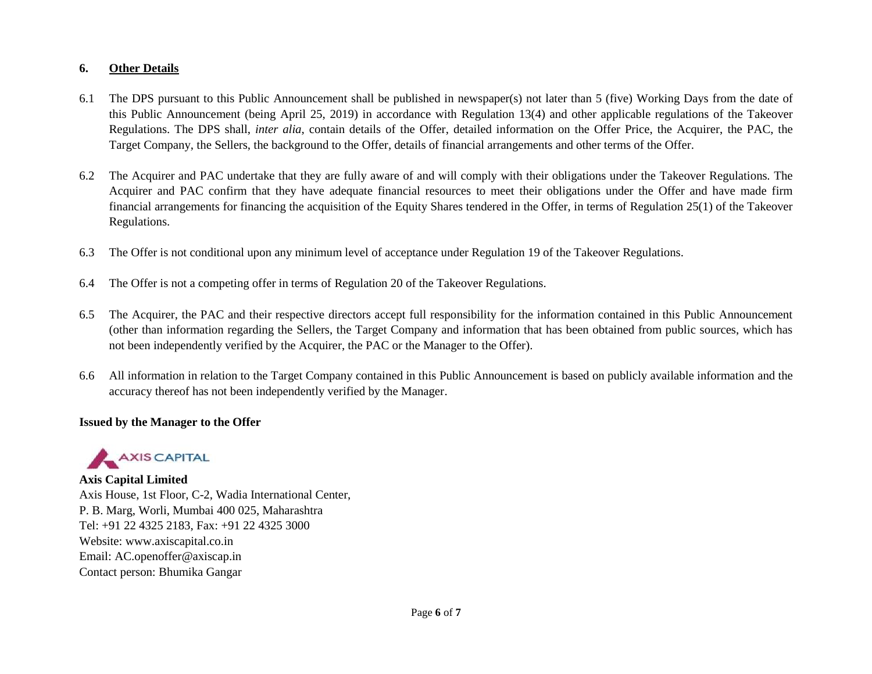### **6. Other Details**

- 6.1 The DPS pursuant to this Public Announcement shall be published in newspaper(s) not later than 5 (five) Working Days from the date of this Public Announcement (being April 25, 2019) in accordance with Regulation 13(4) and other applicable regulations of the Takeover Regulations. The DPS shall, *inter alia*, contain details of the Offer, detailed information on the Offer Price, the Acquirer, the PAC, the Target Company, the Sellers, the background to the Offer, details of financial arrangements and other terms of the Offer.
- 6.2 The Acquirer and PAC undertake that they are fully aware of and will comply with their obligations under the Takeover Regulations. The Acquirer and PAC confirm that they have adequate financial resources to meet their obligations under the Offer and have made firm financial arrangements for financing the acquisition of the Equity Shares tendered in the Offer, in terms of Regulation 25(1) of the Takeover Regulations.
- 6.3 The Offer is not conditional upon any minimum level of acceptance under Regulation 19 of the Takeover Regulations.
- 6.4 The Offer is not a competing offer in terms of Regulation 20 of the Takeover Regulations.
- 6.5 The Acquirer, the PAC and their respective directors accept full responsibility for the information contained in this Public Announcement (other than information regarding the Sellers, the Target Company and information that has been obtained from public sources, which has not been independently verified by the Acquirer, the PAC or the Manager to the Offer).
- 6.6 All information in relation to the Target Company contained in this Public Announcement is based on publicly available information and the accuracy thereof has not been independently verified by the Manager.

### **Issued by the Manager to the Offer**



### **Axis Capital Limited**

Axis House, 1st Floor, C-2, Wadia International Center, P. B. Marg, Worli, Mumbai 400 025, Maharashtra Tel: +91 22 4325 2183, Fax: +91 22 4325 3000 Website: www.axiscapital.co.in Email: AC.openoffer@axiscap.in Contact person: Bhumika Gangar